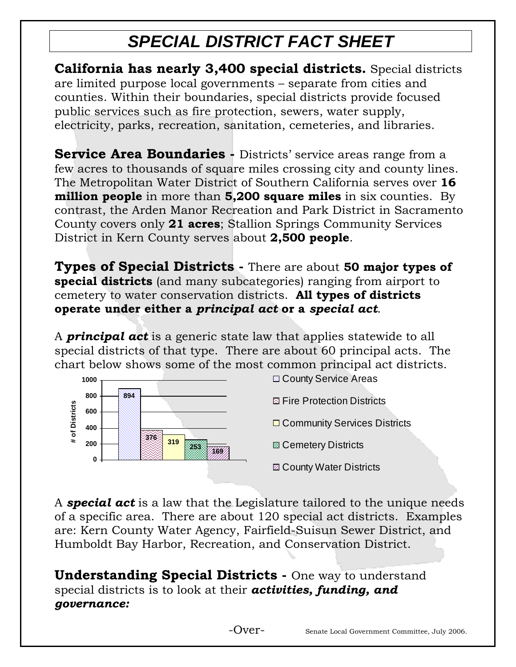# *SPECIAL DISTRICT FACT SHEET*

**California has nearly 3,400 special districts.** Special districts are limited purpose local governments – separate from cities and counties. Within their boundaries, special districts provide focused public services such as fire protection, sewers, water supply, electricity, parks, recreation, sanitation, cemeteries, and libraries.

**Service Area Boundaries -** Districts' service areas range from a few acres to thousands of square miles crossing city and county lines. The Metropolitan Water District of Southern California serves over **16 million people** in more than **5,200 square miles** in six counties. By contrast, the Arden Manor Recreation and Park District in Sacramento County covers only **21 acres**; Stallion Springs Community Services District in Kern County serves about **2,500 people**.

**Types of Special Districts -** There are about **50 major types of special districts** (and many subcategories) ranging from airport to cemetery to water conservation districts. **All types of districts operate under either a** *principal act* **or a** *special act*.

A *principal act* is a generic state law that applies statewide to all special districts of that type. There are about 60 principal acts. The chart below shows some of the most common principal act districts.



A *special act* is a law that the Legislature tailored to the unique needs of a specific area. There are about 120 special act districts. Examples are: Kern County Water Agency, Fairfield-Suisun Sewer District, and Humboldt Bay Harbor, Recreation, and Conservation District.

**Understanding Special Districts - One way to understand** special districts is to look at their *activities, funding, and governance:*